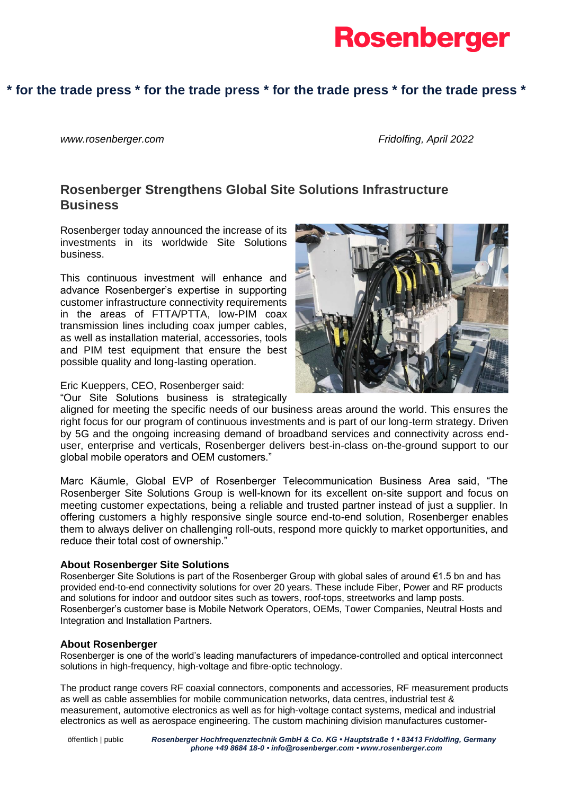

# **\* for the trade press \* for the trade press \* for the trade press \* for the trade press \***

*www.rosenberger.com Fridolfing, April 2022*

# **Rosenberger Strengthens Global Site Solutions Infrastructure Business**

Rosenberger today announced the increase of its investments in its worldwide Site Solutions business.

This continuous investment will enhance and advance Rosenberger's expertise in supporting customer infrastructure connectivity requirements in the areas of FTTA/PTTA, low-PIM coax transmission lines including coax jumper cables, as well as installation material, accessories, tools and PIM test equipment that ensure the best possible quality and long-lasting operation.

Eric Kueppers, CEO, Rosenberger said:

"Our Site Solutions business is strategically

aligned for meeting the specific needs of our business areas around the world. This ensures the right focus for our program of continuous investments and is part of our long-term strategy. Driven by 5G and the ongoing increasing demand of broadband services and connectivity across enduser, enterprise and verticals, Rosenberger delivers best-in-class on-the-ground support to our global mobile operators and OEM customers."

Marc Käumle, Global EVP of Rosenberger Telecommunication Business Area said, "The Rosenberger Site Solutions Group is well-known for its excellent on-site support and focus on meeting customer expectations, being a reliable and trusted partner instead of just a supplier. In offering customers a highly responsive single source end-to-end solution, Rosenberger enables them to always deliver on challenging roll-outs, respond more quickly to market opportunities, and reduce their total cost of ownership."

## **About Rosenberger Site Solutions**

Rosenberger Site Solutions is part of the Rosenberger Group with global sales of around €1.5 bn and has provided end-to-end connectivity solutions for over 20 years. These include Fiber, Power and RF products and solutions for indoor and outdoor sites such as towers, roof-tops, streetworks and lamp posts. Rosenberger's customer base is Mobile Network Operators, OEMs, Tower Companies, Neutral Hosts and Integration and Installation Partners.

## **About Rosenberger**

Rosenberger is one of the world's leading manufacturers of impedance-controlled and optical interconnect solutions in high-frequency, high-voltage and fibre-optic technology.

The product range covers RF coaxial connectors, components and accessories, RF measurement products as well as cable assemblies for mobile communication networks, data centres, industrial test & measurement, automotive electronics as well as for high-voltage contact systems, medical and industrial electronics as well as aerospace engineering. The custom machining division manufactures customer-

 *Rosenberger Hochfrequenztechnik GmbH & Co. KG • Hauptstraße 1 • 83413 Fridolfing, Germany phone +49 8684 18-0 • info@rosenberger.com • www.rosenberger.com* öffentlich | public